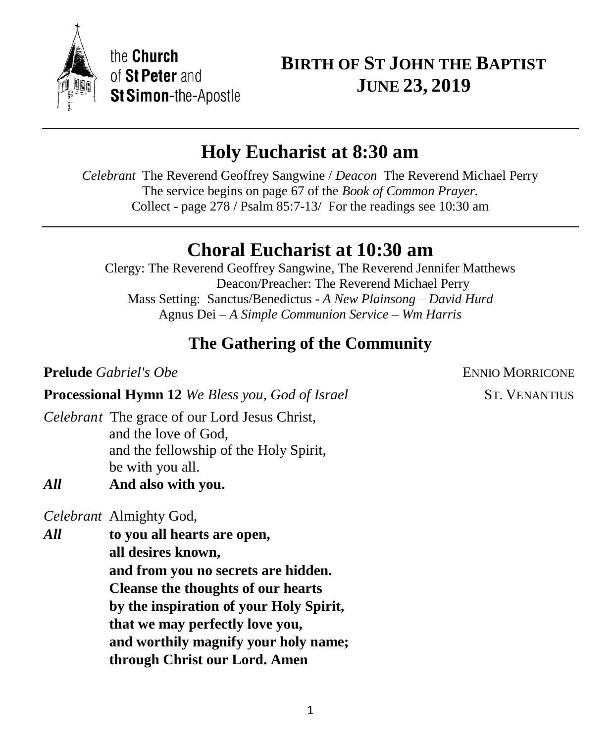

**BIRTH OF ST JOHN THE BAPTIST JUNE 23, 2019**

# **Holy Eucharist at 8:30 am**

*Celebrant* The Reverend Geoffrey Sangwine / *Deacon* The Reverend Michael Perry The service begins on page 67 of the *Book of Common Prayer.* Collect - page 278 / Psalm 85:7-13/ For the readings see 10:30 am

## **Choral Eucharist at 10:30 am**

Clergy: The Reverend Geoffrey Sangwine, The Reverend Jennifer Matthews Deacon/Preacher: The Reverend Michael Perry Mass Setting: Sanctus/Benedictus - *A New Plainsong – David Hurd* Agnus Dei *– A Simple Communion Service – Wm Harris*

## **The Gathering of the Community**

**Prelude** *Gabriel's Obe* **ENNIO MORRICONE** 

**Processional Hymn 12** *We Bless you, God of Israel* ST. VENANTIUS

*Celebrant* The grace of our Lord Jesus Christ, and the love of God, and the fellowship of the Holy Spirit, be with you all.

*All* **And also with you.**

*Celebrant* Almighty God,

*All* **to you all hearts are open, all desires known, and from you no secrets are hidden. Cleanse the thoughts of our hearts by the inspiration of your Holy Spirit, that we may perfectly love you, and worthily magnify your holy name; through Christ our Lord. Amen**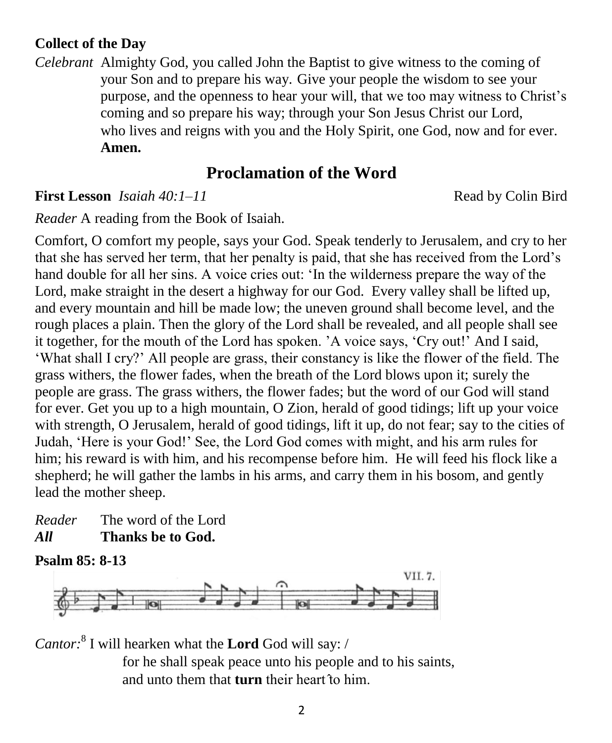### **Collect of the Day**

*Celebrant* Almighty God, you called John the Baptist to give witness to the coming of your Son and to prepare his way. Give your people the wisdom to see your purpose, and the openness to hear your will, that we too may witness to Christ's coming and so prepare his way; through your Son Jesus Christ our Lord, who lives and reigns with you and the Holy Spirit, one God, now and for ever. **Amen.** 

## **Proclamation of the Word**

#### **First Lesson** *Isaiah 40:1–11* Read by Colin Bird

*Reader* A reading from the Book of Isaiah.

Comfort, O comfort my people, says your God. Speak tenderly to Jerusalem, and cry to her that she has served her term, that her penalty is paid, that she has received from the Lord's hand double for all her sins. A voice cries out: 'In the wilderness prepare the way of the Lord, make straight in the desert a highway for our God. Every valley shall be lifted up, and every mountain and hill be made low; the uneven ground shall become level, and the rough places a plain. Then the glory of the Lord shall be revealed, and all people shall see it together, for the mouth of the Lord has spoken. 'A voice says, 'Cry out!' And I said, 'What shall I cry?' All people are grass, their constancy is like the flower of the field. The grass withers, the flower fades, when the breath of the Lord blows upon it; surely the people are grass. The grass withers, the flower fades; but the word of our God will stand for ever. Get you up to a high mountain, O Zion, herald of good tidings; lift up your voice with strength, O Jerusalem, herald of good tidings, lift it up, do not fear; say to the cities of Judah, 'Here is your God!' See, the Lord God comes with might, and his arm rules for him; his reward is with him, and his recompense before him. He will feed his flock like a shepherd; he will gather the lambs in his arms, and carry them in his bosom, and gently lead the mother sheep.

*Reader* The word of the Lord *All* **Thanks be to God.**

```
Psalm 85: 8-13
```


*Cantor:*<sup>8</sup> I will hearken what the **Lord** God will say: /

for he shall speak peace unto his people and to his saints, and unto them that **turn** their heart ̂to him.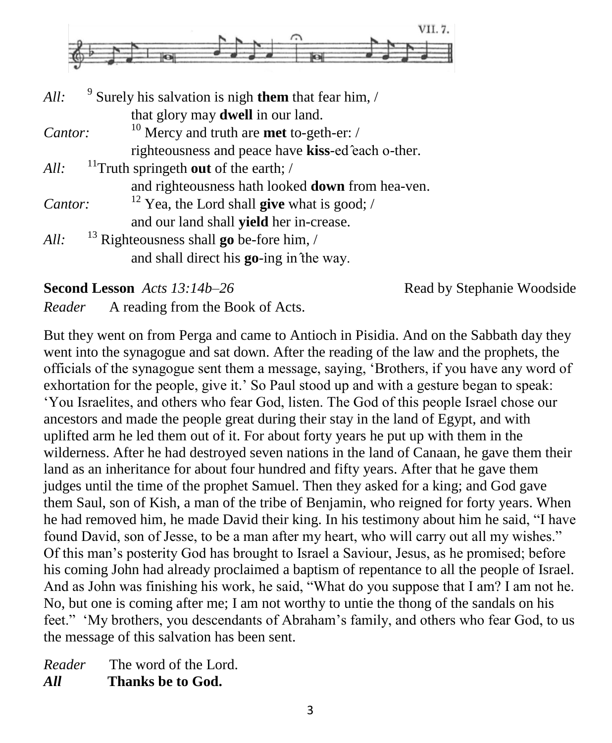

| All:    | <sup>9</sup> Surely his salvation is nigh <b>them</b> that fear him, $\frac{1}{2}$ |
|---------|------------------------------------------------------------------------------------|
|         | that glory may <b>dwell</b> in our land.                                           |
| Cantor: | $10$ Mercy and truth are met to-geth-er: /                                         |
|         | righteousness and peace have kiss-ed each o-ther.                                  |
| All:    | <sup>11</sup> Truth springeth out of the earth; $\frac{1}{2}$                      |
|         | and righteousness hath looked <b>down</b> from hea-ven.                            |
| Cantor: | <sup>12</sup> Yea, the Lord shall <b>give</b> what is good; /                      |
|         | and our land shall yield her in-crease.                                            |
| All:    | <sup>13</sup> Righteousness shall <b>go</b> be-fore him, $\frac{1}{2}$             |
|         | and shall direct his go-ing in the way.                                            |

#### **Second Lesson** *Acts 13:14b–26* **Read by Stephanie Woodside**

*Reader* A reading from the Book of Acts.

But they went on from Perga and came to Antioch in Pisidia. And on the Sabbath day they went into the synagogue and sat down. After the reading of the law and the prophets, the officials of the synagogue sent them a message, saying, 'Brothers, if you have any word of exhortation for the people, give it.' So Paul stood up and with a gesture began to speak: 'You Israelites, and others who fear God, listen. The God of this people Israel chose our ancestors and made the people great during their stay in the land of Egypt, and with uplifted arm he led them out of it. For about forty years he put up with them in the wilderness. After he had destroyed seven nations in the land of Canaan, he gave them their land as an inheritance for about four hundred and fifty years. After that he gave them judges until the time of the prophet Samuel. Then they asked for a king; and God gave them Saul, son of Kish, a man of the tribe of Benjamin, who reigned for forty years. When he had removed him, he made David their king. In his testimony about him he said, "I have found David, son of Jesse, to be a man after my heart, who will carry out all my wishes." Of this man's posterity God has brought to Israel a Saviour, Jesus, as he promised; before his coming John had already proclaimed a baptism of repentance to all the people of Israel. And as John was finishing his work, he said, "What do you suppose that I am? I am not he. No, but one is coming after me; I am not worthy to untie the thong of the sandals on his feet." 'My brothers, you descendants of Abraham's family, and others who fear God, to us the message of this salvation has been sent.

*Reader* The word of the Lord. *All* **Thanks be to God.**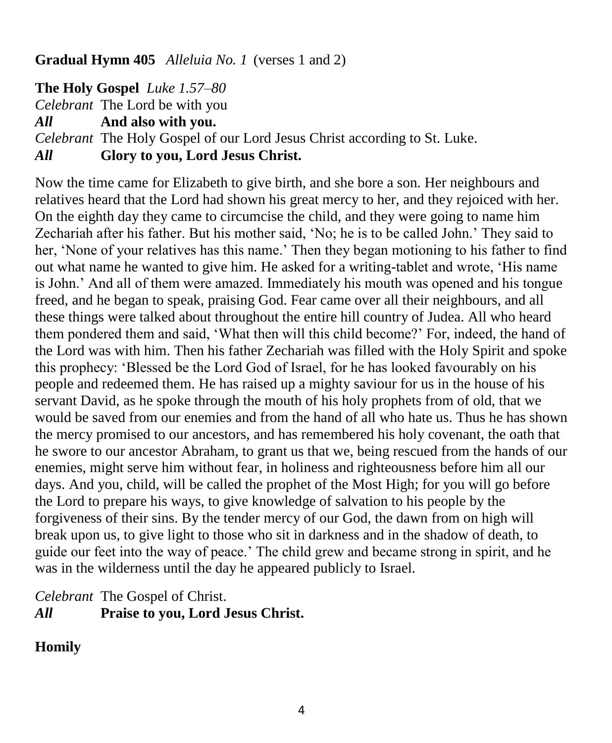#### **Gradual Hymn 405** *Alleluia No. 1* (verses 1 and 2)

#### **The Holy Gospel** *Luke 1.57–80*

*Celebrant* The Lord be with you

*All* **And also with you.**

*Celebrant* The Holy Gospel of our Lord Jesus Christ according to St. Luke.

#### *All* **Glory to you, Lord Jesus Christ.**

Now the time came for Elizabeth to give birth, and she bore a son. Her neighbours and relatives heard that the Lord had shown his great mercy to her, and they rejoiced with her. On the eighth day they came to circumcise the child, and they were going to name him Zechariah after his father. But his mother said, 'No; he is to be called John.' They said to her, 'None of your relatives has this name.' Then they began motioning to his father to find out what name he wanted to give him. He asked for a writing-tablet and wrote, 'His name is John.' And all of them were amazed. Immediately his mouth was opened and his tongue freed, and he began to speak, praising God. Fear came over all their neighbours, and all these things were talked about throughout the entire hill country of Judea. All who heard them pondered them and said, 'What then will this child become?' For, indeed, the hand of the Lord was with him. Then his father Zechariah was filled with the Holy Spirit and spoke this prophecy: 'Blessed be the Lord God of Israel, for he has looked favourably on his people and redeemed them. He has raised up a mighty saviour for us in the house of his servant David, as he spoke through the mouth of his holy prophets from of old, that we would be saved from our enemies and from the hand of all who hate us. Thus he has shown the mercy promised to our ancestors, and has remembered his holy covenant, the oath that he swore to our ancestor Abraham, to grant us that we, being rescued from the hands of our enemies, might serve him without fear, in holiness and righteousness before him all our days. And you, child, will be called the prophet of the Most High; for you will go before the Lord to prepare his ways, to give knowledge of salvation to his people by the forgiveness of their sins. By the tender mercy of our God, the dawn from on high will break upon us, to give light to those who sit in darkness and in the shadow of death, to guide our feet into the way of peace.' The child grew and became strong in spirit, and he was in the wilderness until the day he appeared publicly to Israel.

*Celebrant* The Gospel of Christ.

#### *All* **Praise to you, Lord Jesus Christ.**

### **Homily**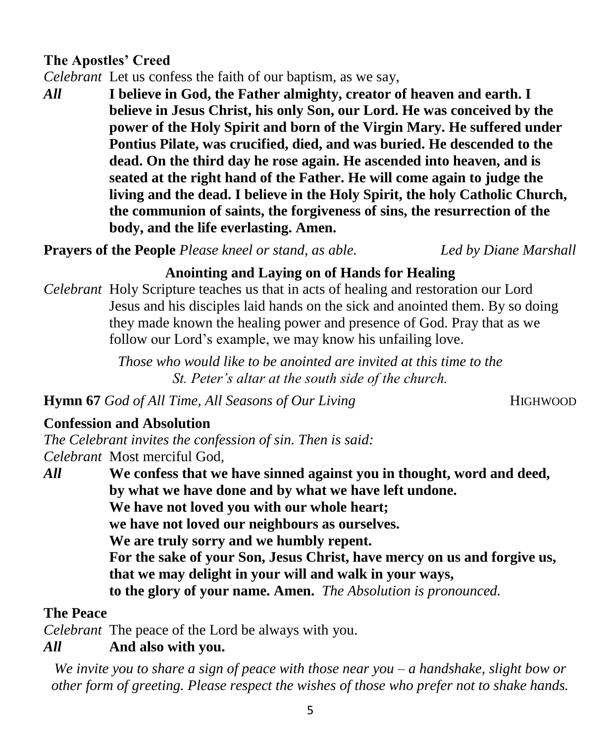#### **The Apostles' Creed**

*Celebrant* Let us confess the faith of our baptism, as we say,

*All* **I believe in God, the Father almighty, creator of heaven and earth. I believe in Jesus Christ, his only Son, our Lord. He was conceived by the power of the Holy Spirit and born of the Virgin Mary. He suffered under Pontius Pilate, was crucified, died, and was buried. He descended to the dead. On the third day he rose again. He ascended into heaven, and is seated at the right hand of the Father. He will come again to judge the living and the dead. I believe in the Holy Spirit, the holy Catholic Church, the communion of saints, the forgiveness of sins, the resurrection of the body, and the life everlasting. Amen.**

**Prayers of the People** *Please kneel or stand, as able. Led by Diane Marshall*

### **Anointing and Laying on of Hands for Healing**

*Celebrant* Holy Scripture teaches us that in acts of healing and restoration our Lord Jesus and his disciples laid hands on the sick and anointed them. By so doing they made known the healing power and presence of God. Pray that as we follow our Lord's example, we may know his unfailing love.

> *Those who would like to be anointed are invited at this time to the St. Peter's altar at the south side of the church.*

**Hymn 67** *God of All Time, All Seasons of Our Living* **Fig. 7 HIGHWOOD** 

#### **Confession and Absolution**

*The Celebrant invites the confession of sin. Then is said: Celebrant* Most merciful God,

*All* **We confess that we have sinned against you in thought, word and deed, by what we have done and by what we have left undone. We have not loved you with our whole heart; we have not loved our neighbours as ourselves. We are truly sorry and we humbly repent. For the sake of your Son, Jesus Christ, have mercy on us and forgive us, that we may delight in your will and walk in your ways, to the glory of your name. Amen.** *The Absolution is pronounced.*

#### **The Peace**

*Celebrant* The peace of the Lord be always with you.

#### *All* **And also with you.**

*We invite you to share a sign of peace with those near you – a handshake, slight bow or other form of greeting. Please respect the wishes of those who prefer not to shake hands.*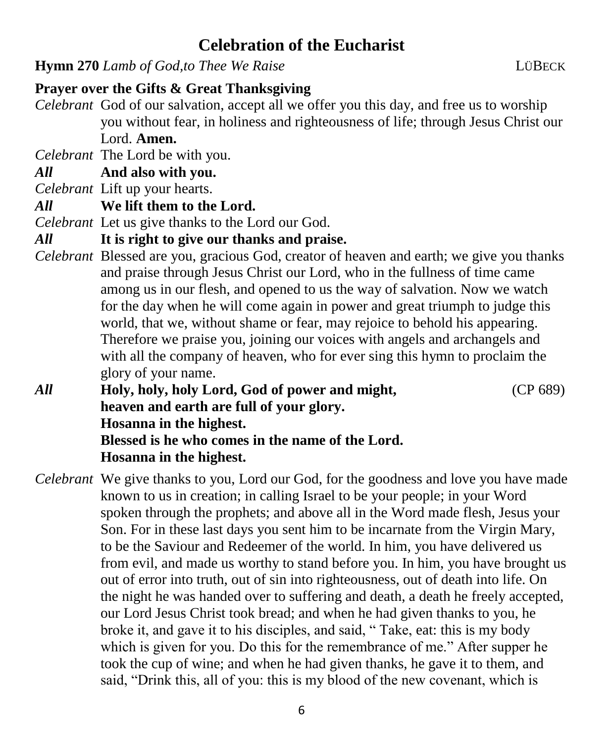## **Celebration of the Eucharist**

**Hymn 270** *Lamb of God,to Thee We Raise* LÜBECK

#### **Prayer over the Gifts & Great Thanksgiving**

- *Celebrant* God of our salvation, accept all we offer you this day, and free us to worship you without fear, in holiness and righteousness of life; through Jesus Christ our Lord. **Amen.**
- *Celebrant* The Lord be with you.
- *All* **And also with you.**

*Celebrant* Lift up your hearts.

*All* **We lift them to the Lord.**

*Celebrant* Let us give thanks to the Lord our God.

#### *All* **It is right to give our thanks and praise.**

- *Celebrant* Blessed are you, gracious God, creator of heaven and earth; we give you thanks and praise through Jesus Christ our Lord, who in the fullness of time came among us in our flesh, and opened to us the way of salvation. Now we watch for the day when he will come again in power and great triumph to judge this world, that we, without shame or fear, may rejoice to behold his appearing. Therefore we praise you, joining our voices with angels and archangels and with all the company of heaven, who for ever sing this hymn to proclaim the glory of your name.
- *All* **Holy, holy, holy Lord, God of power and might,** (CP 689) **heaven and earth are full of your glory. Hosanna in the highest. Blessed is he who comes in the name of the Lord. Hosanna in the highest.**
- *Celebrant* We give thanks to you, Lord our God, for the goodness and love you have made known to us in creation; in calling Israel to be your people; in your Word spoken through the prophets; and above all in the Word made flesh, Jesus your Son. For in these last days you sent him to be incarnate from the Virgin Mary, to be the Saviour and Redeemer of the world. In him, you have delivered us from evil, and made us worthy to stand before you. In him, you have brought us out of error into truth, out of sin into righteousness, out of death into life. On the night he was handed over to suffering and death, a death he freely accepted, our Lord Jesus Christ took bread; and when he had given thanks to you, he broke it, and gave it to his disciples, and said, " Take, eat: this is my body which is given for you. Do this for the remembrance of me." After supper he took the cup of wine; and when he had given thanks, he gave it to them, and said, "Drink this, all of you: this is my blood of the new covenant, which is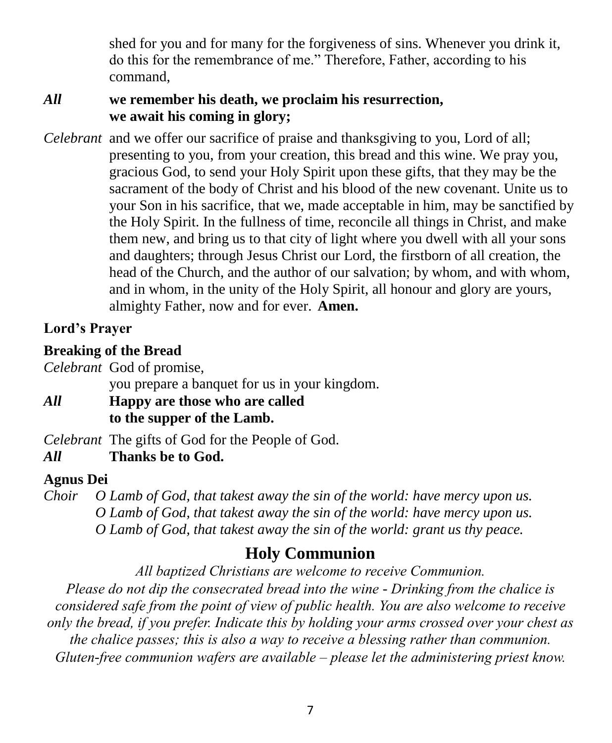shed for you and for many for the forgiveness of sins. Whenever you drink it, do this for the remembrance of me." Therefore, Father, according to his command,

#### *All* **we remember his death, we proclaim his resurrection, we await his coming in glory;**

*Celebrant* and we offer our sacrifice of praise and thanksgiving to you, Lord of all; presenting to you, from your creation, this bread and this wine. We pray you, gracious God, to send your Holy Spirit upon these gifts, that they may be the sacrament of the body of Christ and his blood of the new covenant. Unite us to your Son in his sacrifice, that we, made acceptable in him, may be sanctified by the Holy Spirit. In the fullness of time, reconcile all things in Christ, and make them new, and bring us to that city of light where you dwell with all your sons and daughters; through Jesus Christ our Lord, the firstborn of all creation, the head of the Church, and the author of our salvation; by whom, and with whom, and in whom, in the unity of the Holy Spirit, all honour and glory are yours, almighty Father, now and for ever.**Amen.**

## **Lord's Prayer**

### **Breaking of the Bread**

*Celebrant* God of promise,

you prepare a banquet for us in your kingdom.

- *All* **Happy are those who are called to the supper of the Lamb.**
- *Celebrant* The gifts of God for the People of God.

*All* **Thanks be to God.**

### **Agnus Dei**

*Choir O Lamb of God, that takest away the sin of the world: have mercy upon us. O Lamb of God, that takest away the sin of the world: have mercy upon us. O Lamb of God, that takest away the sin of the world: grant us thy peace.*

## **Holy Communion**

*All baptized Christians are welcome to receive Communion.*

*Please do not dip the consecrated bread into the wine - Drinking from the chalice is considered safe from the point of view of public health. You are also welcome to receive only the bread, if you prefer. Indicate this by holding your arms crossed over your chest as the chalice passes; this is also a way to receive a blessing rather than communion. Gluten-free communion wafers are available – please let the administering priest know.*